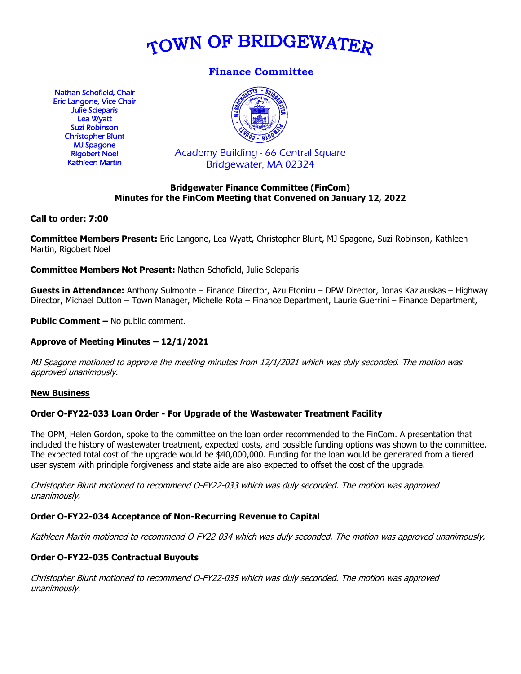

# **Finance Committee**

Nathan Schofield, Chair Eric Langone, Vice Chair Julie Scleparis Lea Wyatt Suzi Robinson Christopher Blunt MJ Spagone Rigobert Noel Kathleen Martin



Academy Building - 66 Central Square Bridgewater, MA 02324

### **Bridgewater Finance Committee (FinCom) Minutes for the FinCom Meeting that Convened on January 12, 2022**

### **Call to order: 7:00**

**Committee Members Present:** Eric Langone, Lea Wyatt, Christopher Blunt, MJ Spagone, Suzi Robinson, Kathleen Martin, Rigobert Noel

**Committee Members Not Present:** Nathan Schofield, Julie Scleparis

**Guests in Attendance:** Anthony Sulmonte – Finance Director, Azu Etoniru – DPW Director, Jonas Kazlauskas – Highway Director, Michael Dutton – Town Manager, Michelle Rota – Finance Department, Laurie Guerrini – Finance Department,

**Public Comment –** No public comment.

## **Approve of Meeting Minutes – 12/1/2021**

MJ Spagone motioned to approve the meeting minutes from 12/1/2021 which was duly seconded. The motion was approved unanimously.

#### **New Business**

### **Order O-FY22-033 Loan Order - For Upgrade of the Wastewater Treatment Facility**

The OPM, Helen Gordon, spoke to the committee on the loan order recommended to the FinCom. A presentation that included the history of wastewater treatment, expected costs, and possible funding options was shown to the committee. The expected total cost of the upgrade would be \$40,000,000. Funding for the loan would be generated from a tiered user system with principle forgiveness and state aide are also expected to offset the cost of the upgrade.

Christopher Blunt motioned to recommend O-FY22-033 which was duly seconded. The motion was approved unanimously.

### **Order O-FY22-034 Acceptance of Non-Recurring Revenue to Capital**

Kathleen Martin motioned to recommend O-FY22-034 which was duly seconded. The motion was approved unanimously.

### **Order O-FY22-035 Contractual Buyouts**

Christopher Blunt motioned to recommend O-FY22-035 which was duly seconded. The motion was approved unanimously.